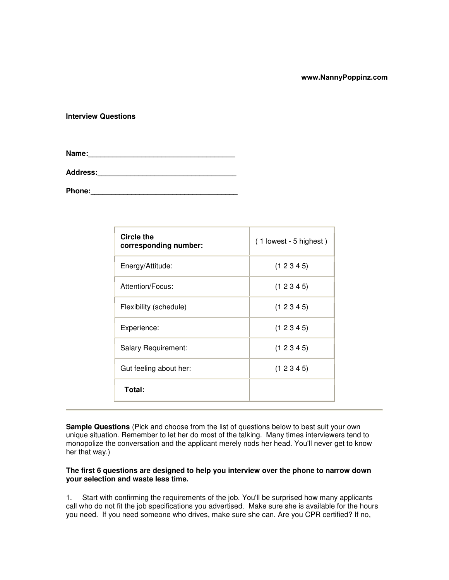### **www.NannyPoppinz.com**

### **Interview Questions**

**Name:\_\_\_\_\_\_\_\_\_\_\_\_\_\_\_\_\_\_\_\_\_\_\_\_\_\_\_\_\_\_\_\_\_\_\_\_**

**Address:\_\_\_\_\_\_\_\_\_\_\_\_\_\_\_\_\_\_\_\_\_\_\_\_\_\_\_\_\_\_\_\_\_\_**

**Phone:** 

| Circle the<br>corresponding number: | $(1$ lowest - 5 highest) |
|-------------------------------------|--------------------------|
| Energy/Attitude:                    | (12345)                  |
| Attention/Focus:                    | (12345)                  |
| Flexibility (schedule)              | (12345)                  |
| Experience:                         | (12345)                  |
| Salary Requirement:                 | (12345)                  |
| Gut feeling about her:              | (12345)                  |
| Total:                              |                          |

**Sample Questions** (Pick and choose from the list of questions below to best suit your own unique situation. Remember to let her do most of the talking. Many times interviewers tend to monopolize the conversation and the applicant merely nods her head. You'll never get to know her that way.)

# **The first 6 questions are designed to help you interview over the phone to narrow down your selection and waste less time.**

1. Start with confirming the requirements of the job. You'll be surprised how many applicants call who do not fit the job specifications you advertised. Make sure she is available for the hours you need. If you need someone who drives, make sure she can. Are you CPR certified? If no,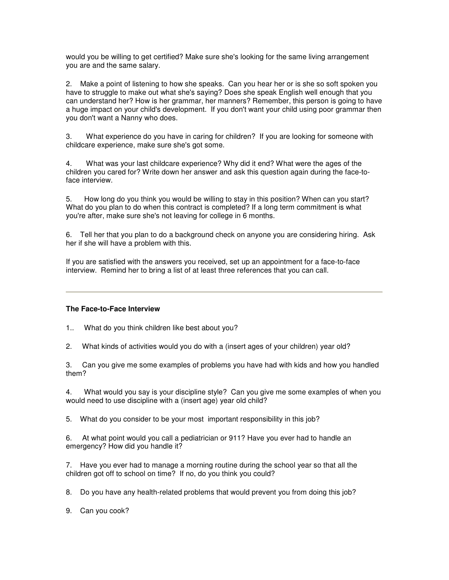would you be willing to get certified? Make sure she's looking for the same living arrangement you are and the same salary.

2. Make a point of listening to how she speaks. Can you hear her or is she so soft spoken you have to struggle to make out what she's saying? Does she speak English well enough that you can understand her? How is her grammar, her manners? Remember, this person is going to have a huge impact on your child's development. If you don't want your child using poor grammar then you don't want a Nanny who does.

3. What experience do you have in caring for children? If you are looking for someone with childcare experience, make sure she's got some.

4. What was your last childcare experience? Why did it end? What were the ages of the children you cared for? Write down her answer and ask this question again during the face-toface interview.

5. How long do you think you would be willing to stay in this position? When can you start? What do you plan to do when this contract is completed? If a long term commitment is what you're after, make sure she's not leaving for college in 6 months.

6. Tell her that you plan to do a background check on anyone you are considering hiring. Ask her if she will have a problem with this.

If you are satisfied with the answers you received, set up an appointment for a face-to-face interview. Remind her to bring a list of at least three references that you can call.

# **The Face-to-Face Interview**

- 1.. What do you think children like best about you?
- 2. What kinds of activities would you do with a (insert ages of your children) year old?

3. Can you give me some examples of problems you have had with kids and how you handled them?

4. What would you say is your discipline style? Can you give me some examples of when you would need to use discipline with a (insert age) year old child?

5. What do you consider to be your most important responsibility in this job?

6. At what point would you call a pediatrician or 911? Have you ever had to handle an emergency? How did you handle it?

7. Have you ever had to manage a morning routine during the school year so that all the children got off to school on time? If no, do you think you could?

8. Do you have any health-related problems that would prevent you from doing this job?

9. Can you cook?